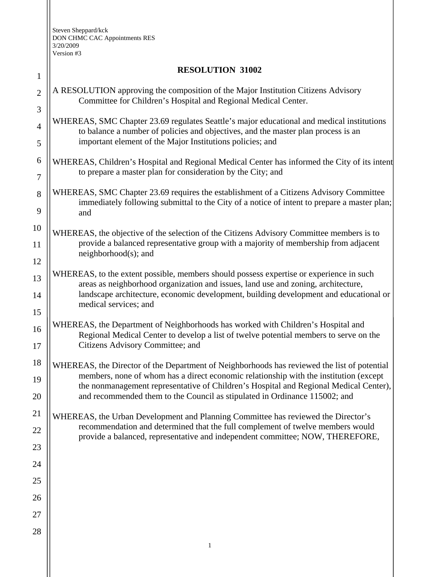| $\mathbf{1}$     | <b>RESOLUTION 31002</b>                                                                                                                                                                      |
|------------------|----------------------------------------------------------------------------------------------------------------------------------------------------------------------------------------------|
| $\overline{2}$   | A RESOLUTION approving the composition of the Major Institution Citizens Advisory<br>Committee for Children's Hospital and Regional Medical Center.                                          |
| 3                |                                                                                                                                                                                              |
| $\overline{4}$   | WHEREAS, SMC Chapter 23.69 regulates Seattle's major educational and medical institutions<br>to balance a number of policies and objectives, and the master plan process is an               |
| 5                | important element of the Major Institutions policies; and                                                                                                                                    |
| $\boldsymbol{6}$ | WHEREAS, Children's Hospital and Regional Medical Center has informed the City of its intent                                                                                                 |
| 7                | to prepare a master plan for consideration by the City; and                                                                                                                                  |
| 8<br>9           | WHEREAS, SMC Chapter 23.69 requires the establishment of a Citizens Advisory Committee<br>immediately following submittal to the City of a notice of intent to prepare a master plan;<br>and |
| 10               |                                                                                                                                                                                              |
| 11               | WHEREAS, the objective of the selection of the Citizens Advisory Committee members is to<br>provide a balanced representative group with a majority of membership from adjacent              |
| 12               | $neighborhood(s);$ and                                                                                                                                                                       |
| 13               | WHEREAS, to the extent possible, members should possess expertise or experience in such                                                                                                      |
| 14               | areas as neighborhood organization and issues, land use and zoning, architecture,<br>landscape architecture, economic development, building development and educational or                   |
| 15               | medical services; and                                                                                                                                                                        |
| 16               | WHEREAS, the Department of Neighborhoods has worked with Children's Hospital and                                                                                                             |
| 17               | Regional Medical Center to develop a list of twelve potential members to serve on the<br>Citizens Advisory Committee; and                                                                    |
| 18               | WHEREAS, the Director of the Department of Neighborhoods has reviewed the list of potential                                                                                                  |
| 19               | members, none of whom has a direct economic relationship with the institution (except<br>the nonmanagement representative of Children's Hospital and Regional Medical Center),               |
| 20               | and recommended them to the Council as stipulated in Ordinance 115002; and                                                                                                                   |
| 21               | WHEREAS, the Urban Development and Planning Committee has reviewed the Director's                                                                                                            |
| 22               | recommendation and determined that the full complement of twelve members would<br>provide a balanced, representative and independent committee; NOW, THEREFORE,                              |
| 23               |                                                                                                                                                                                              |
| 24               |                                                                                                                                                                                              |
| 25               |                                                                                                                                                                                              |
| 26               |                                                                                                                                                                                              |
| 27               |                                                                                                                                                                                              |
| 28               |                                                                                                                                                                                              |
|                  | $\mathbf{1}$                                                                                                                                                                                 |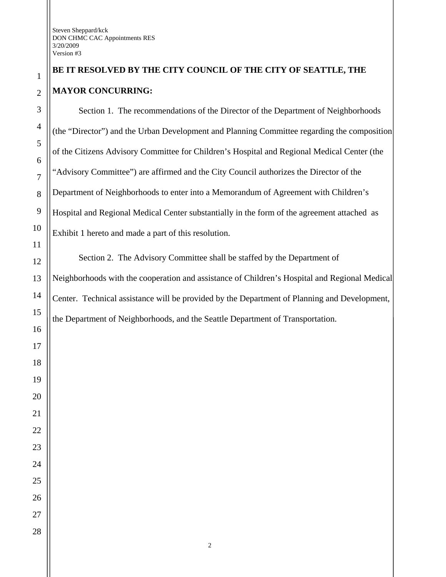## **BE IT RESOLVED BY THE CITY COUNCIL OF THE CITY OF SEATTLE, THE MAYOR CONCURRING:**

Section 1. The recommendations of the Director of the Department of Neighborhoods (the "Director") and the Urban Development and Planning Committee regarding the composition of the Citizens Advisory Committee for Children's Hospital and Regional Medical Center (the "Advisory Committee") are affirmed and the City Council authorizes the Director of the Department of Neighborhoods to enter into a Memorandum of Agreement with Children's Hospital and Regional Medical Center substantially in the form of the agreement attached as Exhibit 1 hereto and made a part of this resolution.

Section 2. The Advisory Committee shall be staffed by the Department of Neighborhoods with the cooperation and assistance of Children's Hospital and Regional Medical Center. Technical assistance will be provided by the Department of Planning and Development, the Department of Neighborhoods, and the Seattle Department of Transportation.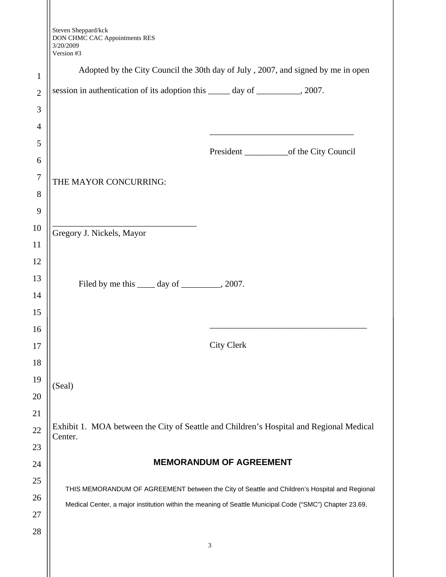Steven Sheppard/kck DON CHMC CAC Appointments RES 3/20/2009

|                | 3/20/2009<br>Version #3                                                                                                                                                                                  |                                |                                                                                           |
|----------------|----------------------------------------------------------------------------------------------------------------------------------------------------------------------------------------------------------|--------------------------------|-------------------------------------------------------------------------------------------|
| $\mathbf{1}$   | Adopted by the City Council the 30th day of July, 2007, and signed by me in open                                                                                                                         |                                |                                                                                           |
| $\overline{2}$ | session in authentication of its adoption this ______ day of __________, 2007.                                                                                                                           |                                |                                                                                           |
| 3              |                                                                                                                                                                                                          |                                |                                                                                           |
| $\overline{4}$ |                                                                                                                                                                                                          |                                |                                                                                           |
| 5              |                                                                                                                                                                                                          |                                | the control of the control of the control of the control of the control of the control of |
| 6              |                                                                                                                                                                                                          |                                |                                                                                           |
| $\overline{7}$ | THE MAYOR CONCURRING:                                                                                                                                                                                    |                                |                                                                                           |
| 8              |                                                                                                                                                                                                          |                                |                                                                                           |
| 9              |                                                                                                                                                                                                          |                                |                                                                                           |
| 10             | Gregory J. Nickels, Mayor                                                                                                                                                                                |                                |                                                                                           |
| 11             |                                                                                                                                                                                                          |                                |                                                                                           |
| 12             |                                                                                                                                                                                                          |                                |                                                                                           |
| 13             | Filed by me this <u>equal</u> day of <u>equal</u> , 2007.                                                                                                                                                |                                |                                                                                           |
| 14             |                                                                                                                                                                                                          |                                |                                                                                           |
| 15             |                                                                                                                                                                                                          |                                |                                                                                           |
| 16<br>17       |                                                                                                                                                                                                          | <b>City Clerk</b>              |                                                                                           |
| 18             |                                                                                                                                                                                                          |                                |                                                                                           |
| 19             |                                                                                                                                                                                                          |                                |                                                                                           |
| 20             | (Seal)                                                                                                                                                                                                   |                                |                                                                                           |
| 21             |                                                                                                                                                                                                          |                                |                                                                                           |
| 22             | Exhibit 1. MOA between the City of Seattle and Children's Hospital and Regional Medical                                                                                                                  |                                |                                                                                           |
| 23             | Center.                                                                                                                                                                                                  |                                |                                                                                           |
| 24             |                                                                                                                                                                                                          | <b>MEMORANDUM OF AGREEMENT</b> |                                                                                           |
| 25             |                                                                                                                                                                                                          |                                |                                                                                           |
| 26             | THIS MEMORANDUM OF AGREEMENT between the City of Seattle and Children's Hospital and Regional<br>Medical Center, a major institution within the meaning of Seattle Municipal Code ("SMC") Chapter 23.69, |                                |                                                                                           |
| 27             |                                                                                                                                                                                                          |                                |                                                                                           |
| 28             |                                                                                                                                                                                                          |                                |                                                                                           |
|                |                                                                                                                                                                                                          | $\ensuremath{\mathfrak{Z}}$    |                                                                                           |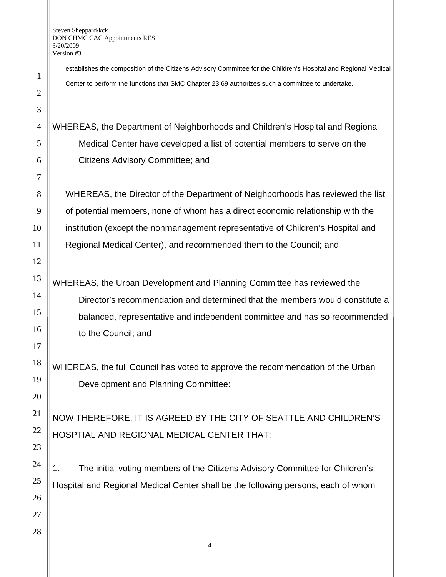establishes the composition of the Citizens Advisory Committee for the Children's Hospital and Regional Medical Center to perform the functions that SMC Chapter 23.69 authorizes such a committee to undertake.

WHEREAS, the Department of Neighborhoods and Children's Hospital and Regional Medical Center have developed a list of potential members to serve on the Citizens Advisory Committee; and

WHEREAS, the Director of the Department of Neighborhoods has reviewed the list of potential members, none of whom has a direct economic relationship with the institution (except the nonmanagement representative of Children's Hospital and Regional Medical Center), and recommended them to the Council; and

WHEREAS, the Urban Development and Planning Committee has reviewed the Director's recommendation and determined that the members would constitute a balanced, representative and independent committee and has so recommended to the Council; and

WHEREAS, the full Council has voted to approve the recommendation of the Urban Development and Planning Committee:

NOW THEREFORE, IT IS AGREED BY THE CITY OF SEATTLE AND CHILDREN'S HOSPTIAL AND REGIONAL MEDICAL CENTER THAT:

1. The initial voting members of the Citizens Advisory Committee for Children's Hospital and Regional Medical Center shall be the following persons, each of whom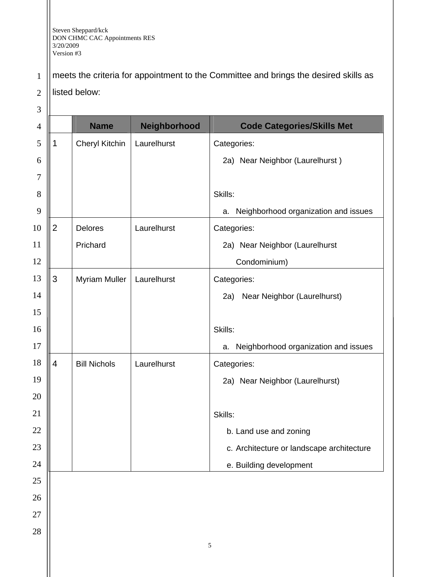listed below:

1 meets the criteria for appointment to the Committee and brings the desired skills as

2

3 4 5 6 7 8 9 10 11 12 13 14 15 16 17 18 19 20 21 22 23 24 25 26 27 Name | Neighborhood | Code Categories/Skills Met 1 | Cheryl Kitchin | Laurelhurst | Categories: 2a) Near Neighbor (Laurelhurst ) Skills: a. Neighborhood organization and issues 2 Delores Prichard Laurelhurst | Categories: 2a) Near Neighbor (Laurelhurst Condominium) 3 | Myriam Muller | Laurelhurst | Categories: 2a) Near Neighbor (Laurelhurst) Skills: a. Neighborhood organization and issues 4 | Bill Nichols | Laurelhurst | Categories: 2a) Near Neighbor (Laurelhurst) Skills: b. Land use and zoning c. Architecture or landscape architecture e. Building development 5 28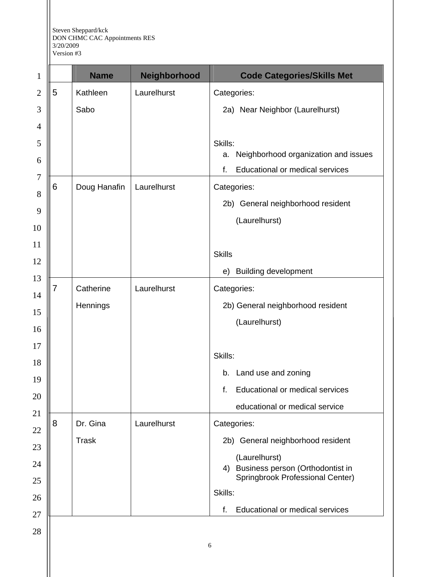|   | <b>Name</b>  | Neighborhood | <b>Code Categories/Skills Met</b>                    |
|---|--------------|--------------|------------------------------------------------------|
| 5 | Kathleen     | Laurelhurst  | Categories:                                          |
|   | Sabo         |              | 2a) Near Neighbor (Laurelhurst)                      |
|   |              |              | Skills:                                              |
|   |              |              | Neighborhood organization and issues<br>a.           |
|   |              |              | Educational or medical services<br>f.                |
| 6 | Doug Hanafin | Laurelhurst  | Categories:                                          |
|   |              |              | 2b) General neighborhood resident                    |
|   |              |              | (Laurelhurst)                                        |
|   |              |              | <b>Skills</b>                                        |
|   |              |              | <b>Building development</b><br>e)                    |
| 7 | Catherine    | Laurelhurst  | Categories:                                          |
|   | Hennings     |              | 2b) General neighborhood resident                    |
|   |              |              | (Laurelhurst)                                        |
|   |              |              | Skills:                                              |
|   |              |              | b. Land use and zoning                               |
|   |              |              | Educational or medical services<br>f.                |
|   |              |              | educational or medical service                       |
| 8 | Dr. Gina     | Laurelhurst  | Categories:                                          |
|   | <b>Trask</b> |              | 2b) General neighborhood resident                    |
|   |              |              | (Laurelhurst)<br>4) Business person (Orthodontist in |
|   |              |              | Springbrook Professional Center)<br>Skills:          |
|   |              |              | Educational or medical services<br>f.                |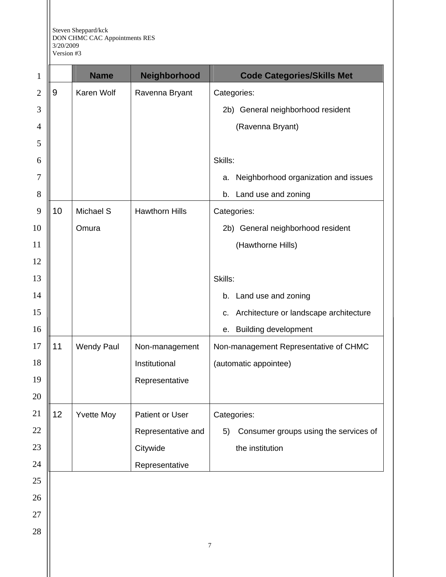|             | Version # |  |
|-------------|-----------|--|
| $\parallel$ |           |  |

 $\mathop{\text{||}}$ 

| $\mathbf{1}$   |    | <b>Name</b>       | Neighborhood          | <b>Code Categories/Skills Met</b>           |
|----------------|----|-------------------|-----------------------|---------------------------------------------|
| $\mathbf{2}$   | 9  | Karen Wolf        | Ravenna Bryant        | Categories:                                 |
| 3              |    |                   |                       | 2b) General neighborhood resident           |
| $\overline{4}$ |    |                   |                       | (Ravenna Bryant)                            |
| 5              |    |                   |                       |                                             |
| 6              |    |                   |                       | Skills:                                     |
| 7              |    |                   |                       | Neighborhood organization and issues<br>a.  |
| 8              |    |                   |                       | b. Land use and zoning                      |
| 9              | 10 | Michael S         | <b>Hawthorn Hills</b> | Categories:                                 |
| 10             |    | Omura             |                       | 2b) General neighborhood resident           |
| 11             |    |                   |                       | (Hawthorne Hills)                           |
| 12             |    |                   |                       |                                             |
| 13             |    |                   |                       | Skills:                                     |
| 14             |    |                   |                       | b. Land use and zoning                      |
| 15             |    |                   |                       | c. Architecture or landscape architecture   |
| 16             |    |                   |                       | <b>Building development</b><br>е.           |
| 17             | 11 | <b>Wendy Paul</b> | Non-management        | Non-management Representative of CHMC       |
| 18             |    |                   | Institutional         | (automatic appointee)                       |
| 19             |    |                   | Representative        |                                             |
| 20             |    |                   |                       |                                             |
| 21             | 12 | <b>Yvette Moy</b> | Patient or User       | Categories:                                 |
| 22             |    |                   | Representative and    | Consumer groups using the services of<br>5) |
| 23             |    |                   | Citywide              | the institution                             |
| 24             |    |                   | Representative        |                                             |
| 25             |    |                   |                       |                                             |
| 26             |    |                   |                       |                                             |
| 27             |    |                   |                       |                                             |
| 28             |    |                   |                       |                                             |
|                |    |                   |                       | $\boldsymbol{7}$                            |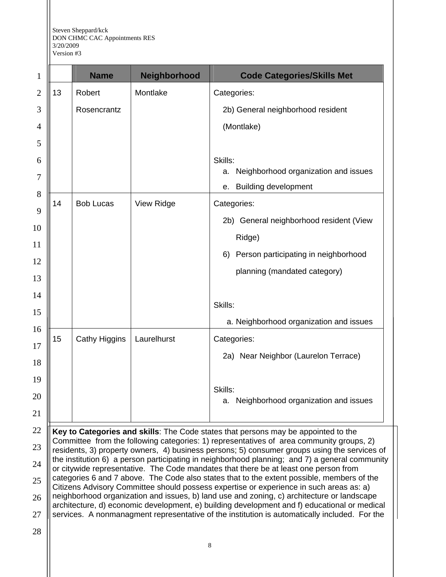|    | <b>Name</b>          | Neighborhood | <b>Code Categories/Skills Met</b>          |
|----|----------------------|--------------|--------------------------------------------|
| 13 | Robert               | Montlake     | Categories:                                |
|    | Rosencrantz          |              | 2b) General neighborhood resident          |
|    |                      |              | (Montlake)                                 |
|    |                      |              |                                            |
|    |                      |              | Skills:                                    |
|    |                      |              | Neighborhood organization and issues<br>a. |
|    |                      |              | <b>Building development</b><br>е.          |
| 14 | <b>Bob Lucas</b>     | View Ridge   | Categories:                                |
|    |                      |              | 2b) General neighborhood resident (View    |
|    |                      |              | Ridge)                                     |
|    |                      |              | Person participating in neighborhood<br>6) |
|    |                      |              | planning (mandated category)               |
|    |                      |              | Skills:                                    |
|    |                      |              | a. Neighborhood organization and issues    |
| 15 | <b>Cathy Higgins</b> | Laurelhurst  | Categories:                                |
|    |                      |              | 2a) Near Neighbor (Laurelon Terrace)       |
|    |                      |              | Skills:                                    |
|    |                      |              | Neighborhood organization and issues<br>a. |

24 25 26 27 rty owners, 4) business persons; 5) consumer groups the institution 6) a person participating in neighborhood planning; and 7) a general community or citywide representative. The Code mandates that there be at least one person from categories 6 and 7 above. The Code also states that to the extent possible, members of the Citizens Advisory Committee should possess expertise or experience in such areas as: a) neighborhood organization and issues, b) land use and zoning, c) architecture or landscape architecture, d) economic development, e) building development and f) educational or medical services. A nonmanagment representative of the institution is automatically included. For the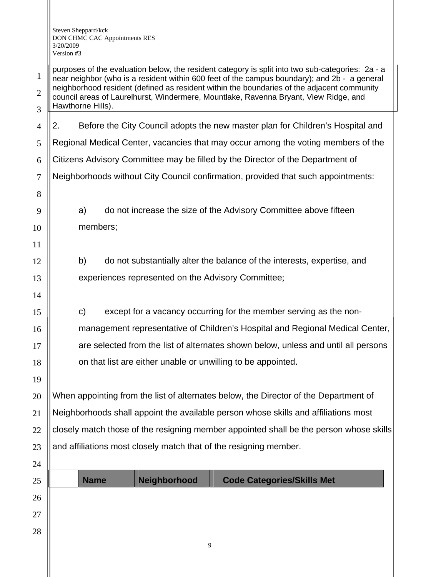20

21

22

23

1 2 3 purposes of the evaluation below, the resident category is split into two sub-categories: 2a - a near neighbor (who is a resident within 600 feet of the campus boundary); and 2b - a general neighborhood resident (defined as resident within the boundaries of the adjacent community council areas of Laurelhurst, Windermere, Mountlake, Ravenna Bryant, View Ridge, and Hawthorne Hills).

4 5 6 7 8 9 10 11 12 13 14 15 16 17 18 19 2. Before the City Council adopts the new master plan for Children's Hospital and Regional Medical Center, vacancies that may occur among the voting members of the Citizens Advisory Committee may be filled by the Director of the Department of Neighborhoods without City Council confirmation, provided that such appointments: a) do not increase the size of the Advisory Committee above fifteen members; b) do not substantially alter the balance of the interests, expertise, and experiences represented on the Advisory Committee; c) except for a vacancy occurring for the member serving as the nonmanagement representative of Children's Hospital and Regional Medical Center, are selected from the list of alternates shown below, unless and until all persons on that list are either unable or unwilling to be appointed.

When appointing from the list of alternates below, the Director of the Department of Neighborhoods shall appoint the available person whose skills and affiliations most closely match those of the resigning member appointed shall be the person whose skills and affiliations most closely match that of the resigning member.

| 24 |             |              |                                   |
|----|-------------|--------------|-----------------------------------|
| 25 | <b>Name</b> | Neighborhood | <b>Code Categories/Skills Met</b> |
| 26 |             |              |                                   |
| 27 |             |              |                                   |
| 28 |             |              |                                   |
|    |             | Q            |                                   |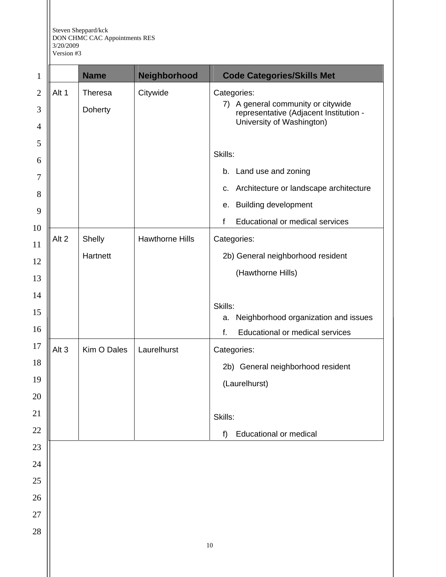Steven Sheppard/kck DON CHMC CAC Appointments RES 3/20/2009

1

2

Version #3 **Name Neighborhood Code Categories/Skills Met**  $\parallel$  Alt 1 Theresa Doherty Citywide | Categories:

| 3<br>4 |                  | Doherty     |                        | A general community or citywide<br>7)<br>representative (Adjacent Institution -<br>University of Washington) |
|--------|------------------|-------------|------------------------|--------------------------------------------------------------------------------------------------------------|
| 5<br>6 |                  |             |                        | Skills:                                                                                                      |
| 7      |                  |             |                        | b. Land use and zoning                                                                                       |
| 8      |                  |             |                        | c. Architecture or landscape architecture                                                                    |
| 9      |                  |             |                        | <b>Building development</b><br>е.                                                                            |
| 10     |                  |             |                        | Educational or medical services<br>f                                                                         |
| 11     | Alt 2            | Shelly      | <b>Hawthorne Hills</b> | Categories:                                                                                                  |
| 12     |                  | Hartnett    |                        | 2b) General neighborhood resident                                                                            |
| 13     |                  |             |                        | (Hawthorne Hills)                                                                                            |
| 14     |                  |             |                        |                                                                                                              |
| 15     |                  |             |                        | Skills:                                                                                                      |
| 16     |                  |             |                        | Neighborhood organization and issues<br>a.                                                                   |
|        |                  |             |                        | f.<br><b>Educational or medical services</b>                                                                 |
| 17     | Alt <sub>3</sub> | Kim O Dales | Laurelhurst            | Categories:                                                                                                  |
| 18     |                  |             |                        | 2b) General neighborhood resident                                                                            |
| 19     |                  |             |                        | (Laurelhurst)                                                                                                |
| 20     |                  |             |                        |                                                                                                              |
| 21     |                  |             |                        | Skills:                                                                                                      |
| $22\,$ |                  |             |                        | <b>Educational or medical</b><br>f)                                                                          |
| 23     |                  |             |                        |                                                                                                              |
| 24     |                  |             |                        |                                                                                                              |
| $25\,$ |                  |             |                        |                                                                                                              |

26 27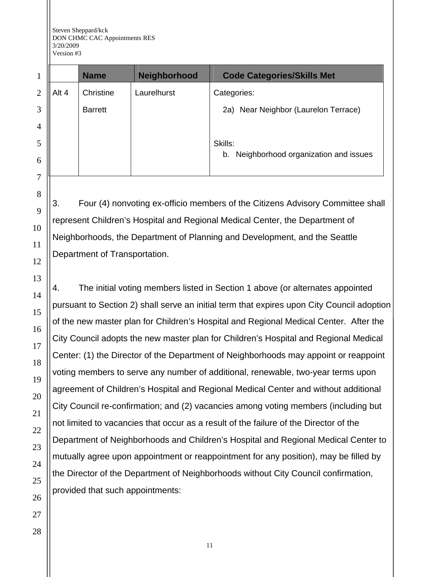|   |       | <b>Name</b>    | Neighborhood | <b>Code Categories/Skills Met</b>          |
|---|-------|----------------|--------------|--------------------------------------------|
| 2 | Alt 4 | Christine      | Laurelhurst  | Categories:                                |
| 3 |       | <b>Barrett</b> |              | Near Neighbor (Laurelon Terrace)<br>2a)    |
| 4 |       |                |              |                                            |
| 5 |       |                |              | Skills:                                    |
| 6 |       |                |              | Neighborhood organization and issues<br>b. |
| 7 |       |                |              |                                            |

3. Four (4) nonvoting ex-officio members of the Citizens Advisory Committee shall represent Children's Hospital and Regional Medical Center, the Department of Neighborhoods, the Department of Planning and Development, and the Seattle Department of Transportation.

4. The initial voting members listed in Section 1 above (or alternates appointed pursuant to Section 2) shall serve an initial term that expires upon City Council adoption of the new master plan for Children's Hospital and Regional Medical Center. After the City Council adopts the new master plan for Children's Hospital and Regional Medical Center: (1) the Director of the Department of Neighborhoods may appoint or reappoint voting members to serve any number of additional, renewable, two-year terms upon agreement of Children's Hospital and Regional Medical Center and without additional City Council re-confirmation; and (2) vacancies among voting members (including but not limited to vacancies that occur as a result of the failure of the Director of the Department of Neighborhoods and Children's Hospital and Regional Medical Center to mutually agree upon appointment or reappointment for any position), may be filled by the Director of the Department of Neighborhoods without City Council confirmation, provided that such appointments: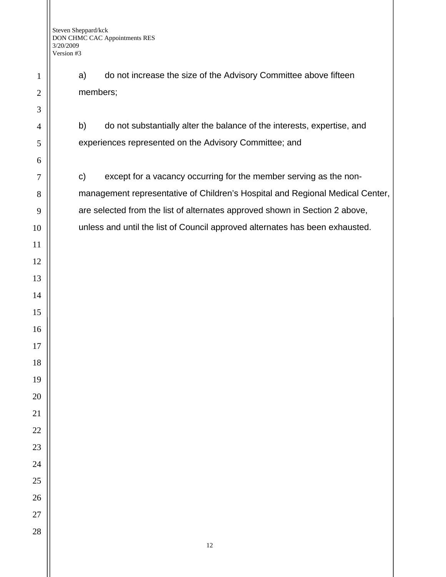a) do not increase the size of the Advisory Committee above fifteen members;

b) do not substantially alter the balance of the interests, expertise, and experiences represented on the Advisory Committee; and

c) except for a vacancy occurring for the member serving as the nonmanagement representative of Children's Hospital and Regional Medical Center, are selected from the list of alternates approved shown in Section 2 above, unless and until the list of Council approved alternates has been exhausted.